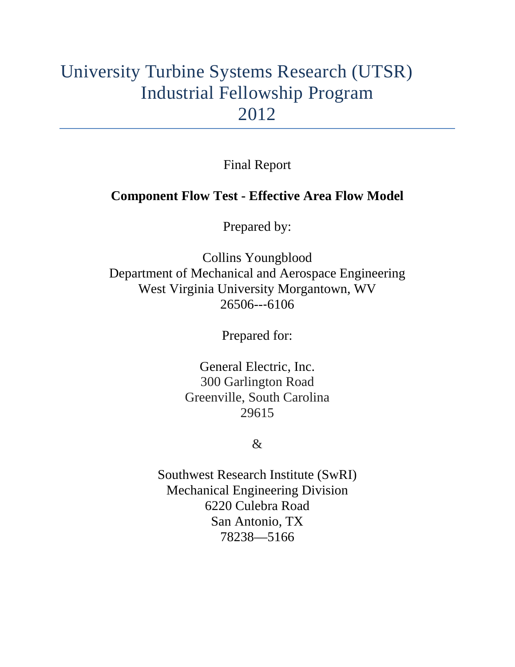# University Turbine Systems Research (UTSR) Industrial Fellowship Program 2012

Final Report

## **Component Flow Test - Effective Area Flow Model**

Prepared by:

Collins Youngblood Department of Mechanical and Aerospace Engineering West Virginia University Morgantown, WV 26506--‐6106

Prepared for:

General Electric, Inc. 300 Garlington Road Greenville, South Carolina 29615

 $\&$ 

Southwest Research Institute (SwRI) Mechanical Engineering Division 6220 Culebra Road San Antonio, TX 78238—5166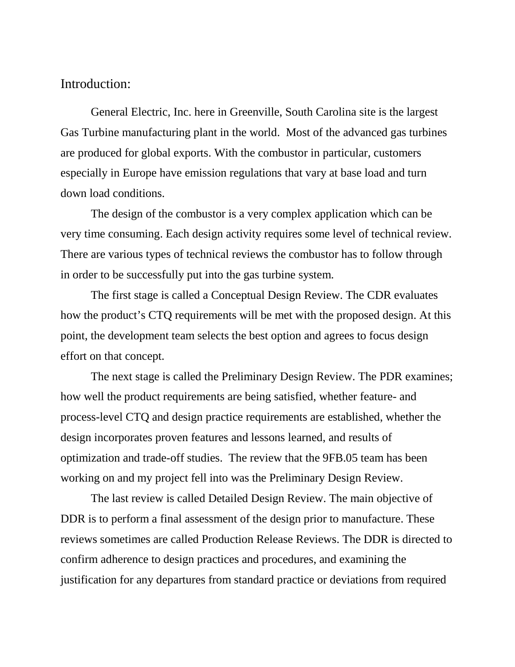#### Introduction:

General Electric, Inc. here in Greenville, South Carolina site is the largest Gas Turbine manufacturing plant in the world. Most of the advanced gas turbines are produced for global exports. With the combustor in particular, customers especially in Europe have emission regulations that vary at base load and turn down load conditions.

The design of the combustor is a very complex application which can be very time consuming. Each design activity requires some level of technical review. There are various types of technical reviews the combustor has to follow through in order to be successfully put into the gas turbine system.

The first stage is called a Conceptual Design Review. The CDR evaluates how the product's CTQ requirements will be met with the proposed design. At this point, the development team selects the best option and agrees to focus design effort on that concept.

The next stage is called the Preliminary Design Review. The PDR examines; how well the product requirements are being satisfied, whether feature- and process-level CTQ and design practice requirements are established, whether the design incorporates proven features and lessons learned, and results of optimization and trade-off studies. The review that the 9FB.05 team has been working on and my project fell into was the Preliminary Design Review.

The last review is called Detailed Design Review. The main objective of DDR is to perform a final assessment of the design prior to manufacture. These reviews sometimes are called Production Release Reviews. The DDR is directed to confirm adherence to design practices and procedures, and examining the justification for any departures from standard practice or deviations from required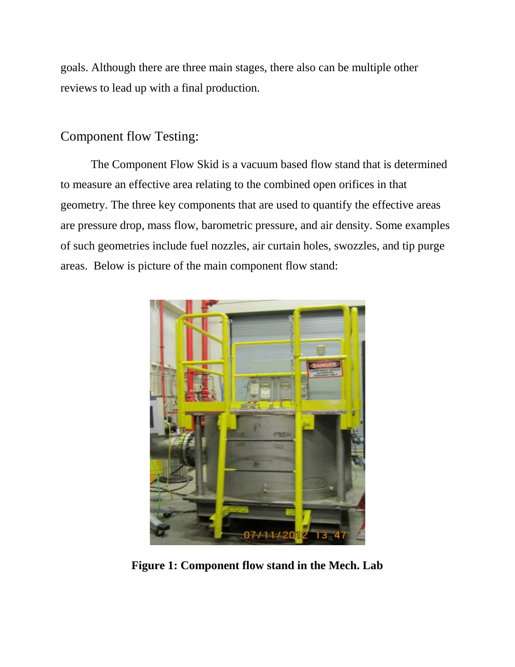goals. Although there are three main stages, there also can be multiple other reviews to lead up with a final production.

## Component flow Testing:

The Component Flow Skid is a vacuum based flow stand that is determined to measure an effective area relating to the combined open orifices in that geometry. The three key components that are used to quantify the effective areas are pressure drop, mass flow, barometric pressure, and air density. Some examples of such geometries include fuel nozzles, air curtain holes, swozzles, and tip purge areas. Below is picture of the main component flow stand:



**Figure 1: Component flow stand in the Mech. Lab**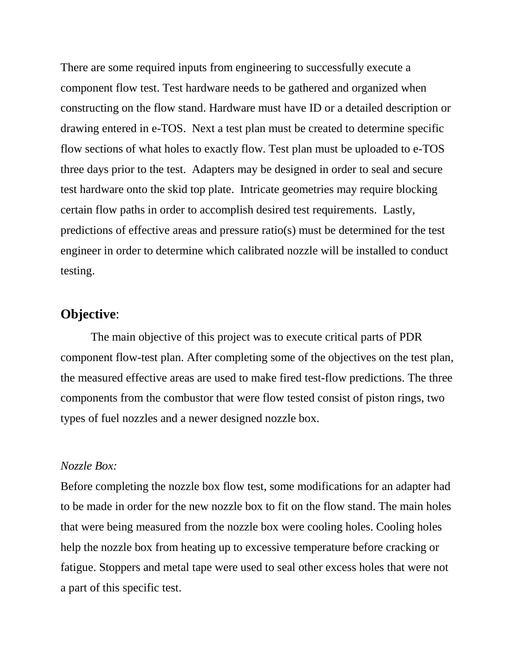There are some required inputs from engineering to successfully execute a component flow test. Test hardware needs to be gathered and organized when constructing on the flow stand. Hardware must have ID or a detailed description or drawing entered in e-TOS. Next a test plan must be created to determine specific flow sections of what holes to exactly flow. Test plan must be uploaded to e-TOS three days prior to the test. Adapters may be designed in order to seal and secure test hardware onto the skid top plate. Intricate geometries may require blocking certain flow paths in order to accomplish desired test requirements. Lastly, predictions of effective areas and pressure ratio(s) must be determined for the test engineer in order to determine which calibrated nozzle will be installed to conduct testing.

## **Objective**:

The main objective of this project was to execute critical parts of PDR component flow-test plan. After completing some of the objectives on the test plan, the measured effective areas are used to make fired test-flow predictions. The three components from the combustor that were flow tested consist of piston rings, two types of fuel nozzles and a newer designed nozzle box.

#### *Nozzle Box:*

Before completing the nozzle box flow test, some modifications for an adapter had to be made in order for the new nozzle box to fit on the flow stand. The main holes that were being measured from the nozzle box were cooling holes. Cooling holes help the nozzle box from heating up to excessive temperature before cracking or fatigue. Stoppers and metal tape were used to seal other excess holes that were not a part of this specific test.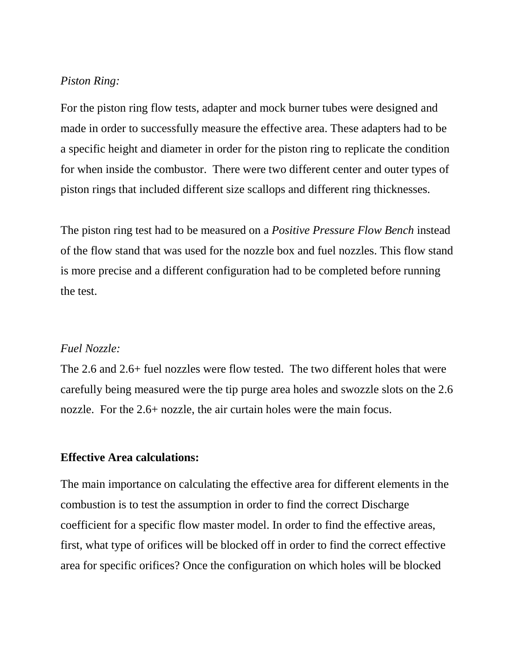#### *Piston Ring:*

For the piston ring flow tests, adapter and mock burner tubes were designed and made in order to successfully measure the effective area. These adapters had to be a specific height and diameter in order for the piston ring to replicate the condition for when inside the combustor. There were two different center and outer types of piston rings that included different size scallops and different ring thicknesses.

The piston ring test had to be measured on a *Positive Pressure Flow Bench* instead of the flow stand that was used for the nozzle box and fuel nozzles. This flow stand is more precise and a different configuration had to be completed before running the test.

#### *Fuel Nozzle:*

The 2.6 and 2.6+ fuel nozzles were flow tested. The two different holes that were carefully being measured were the tip purge area holes and swozzle slots on the 2.6 nozzle. For the 2.6+ nozzle, the air curtain holes were the main focus.

#### **Effective Area calculations:**

The main importance on calculating the effective area for different elements in the combustion is to test the assumption in order to find the correct Discharge coefficient for a specific flow master model. In order to find the effective areas, first, what type of orifices will be blocked off in order to find the correct effective area for specific orifices? Once the configuration on which holes will be blocked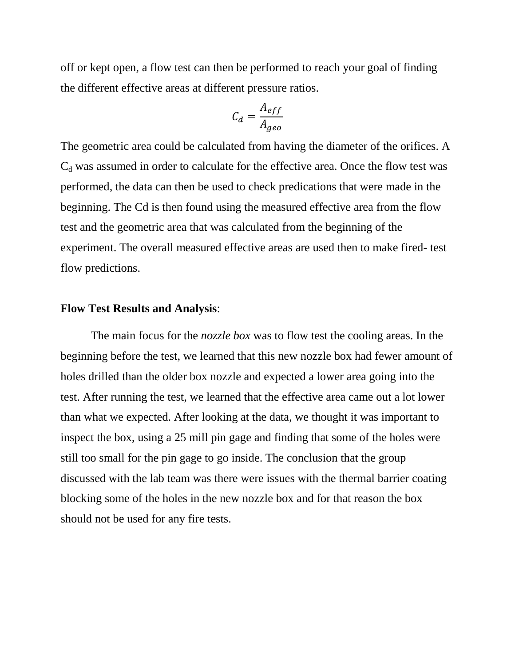off or kept open, a flow test can then be performed to reach your goal of finding the different effective areas at different pressure ratios.

$$
C_d = \frac{A_{eff}}{A_{geo}}
$$

The geometric area could be calculated from having the diameter of the orifices. A  $C_d$  was assumed in order to calculate for the effective area. Once the flow test was performed, the data can then be used to check predications that were made in the beginning. The Cd is then found using the measured effective area from the flow test and the geometric area that was calculated from the beginning of the experiment. The overall measured effective areas are used then to make fired- test flow predictions.

#### **Flow Test Results and Analysis**:

The main focus for the *nozzle box* was to flow test the cooling areas. In the beginning before the test, we learned that this new nozzle box had fewer amount of holes drilled than the older box nozzle and expected a lower area going into the test. After running the test, we learned that the effective area came out a lot lower than what we expected. After looking at the data, we thought it was important to inspect the box, using a 25 mill pin gage and finding that some of the holes were still too small for the pin gage to go inside. The conclusion that the group discussed with the lab team was there were issues with the thermal barrier coating blocking some of the holes in the new nozzle box and for that reason the box should not be used for any fire tests.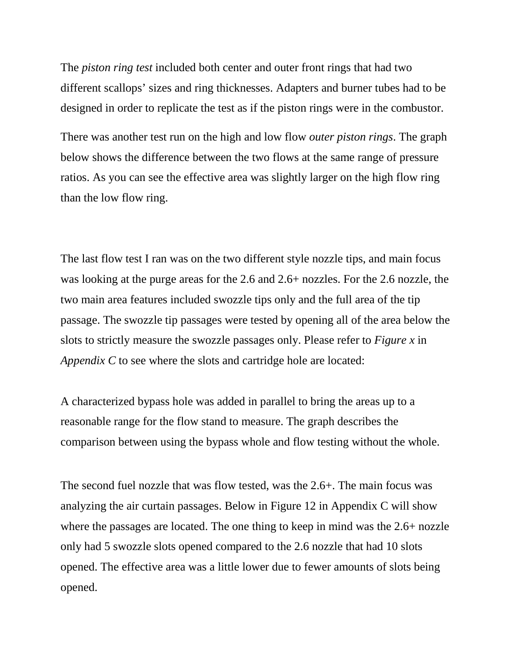The *piston ring test* included both center and outer front rings that had two different scallops' sizes and ring thicknesses. Adapters and burner tubes had to be designed in order to replicate the test as if the piston rings were in the combustor.

There was another test run on the high and low flow *outer piston rings*. The graph below shows the difference between the two flows at the same range of pressure ratios. As you can see the effective area was slightly larger on the high flow ring than the low flow ring.

The last flow test I ran was on the two different style nozzle tips, and main focus was looking at the purge areas for the 2.6 and 2.6+ nozzles. For the 2.6 nozzle, the two main area features included swozzle tips only and the full area of the tip passage. The swozzle tip passages were tested by opening all of the area below the slots to strictly measure the swozzle passages only. Please refer to *Figure x* in *Appendix C* to see where the slots and cartridge hole are located:

A characterized bypass hole was added in parallel to bring the areas up to a reasonable range for the flow stand to measure. The graph describes the comparison between using the bypass whole and flow testing without the whole.

The second fuel nozzle that was flow tested, was the 2.6+. The main focus was analyzing the air curtain passages. Below in Figure 12 in Appendix C will show where the passages are located. The one thing to keep in mind was the 2.6+ nozzle only had 5 swozzle slots opened compared to the 2.6 nozzle that had 10 slots opened. The effective area was a little lower due to fewer amounts of slots being opened.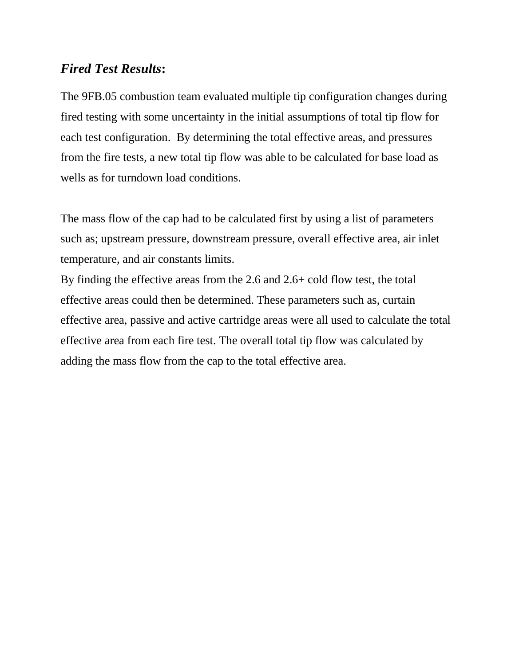## *Fired Test Results***:**

The 9FB.05 combustion team evaluated multiple tip configuration changes during fired testing with some uncertainty in the initial assumptions of total tip flow for each test configuration. By determining the total effective areas, and pressures from the fire tests, a new total tip flow was able to be calculated for base load as wells as for turndown load conditions.

The mass flow of the cap had to be calculated first by using a list of parameters such as; upstream pressure, downstream pressure, overall effective area, air inlet temperature, and air constants limits.

By finding the effective areas from the 2.6 and 2.6+ cold flow test, the total effective areas could then be determined. These parameters such as, curtain effective area, passive and active cartridge areas were all used to calculate the total effective area from each fire test. The overall total tip flow was calculated by adding the mass flow from the cap to the total effective area.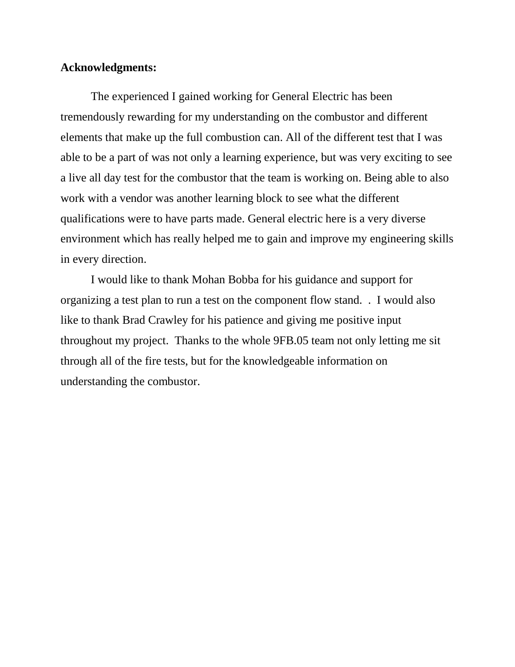#### **Acknowledgments:**

The experienced I gained working for General Electric has been tremendously rewarding for my understanding on the combustor and different elements that make up the full combustion can. All of the different test that I was able to be a part of was not only a learning experience, but was very exciting to see a live all day test for the combustor that the team is working on. Being able to also work with a vendor was another learning block to see what the different qualifications were to have parts made. General electric here is a very diverse environment which has really helped me to gain and improve my engineering skills in every direction.

I would like to thank Mohan Bobba for his guidance and support for organizing a test plan to run a test on the component flow stand. . I would also like to thank Brad Crawley for his patience and giving me positive input throughout my project. Thanks to the whole 9FB.05 team not only letting me sit through all of the fire tests, but for the knowledgeable information on understanding the combustor.